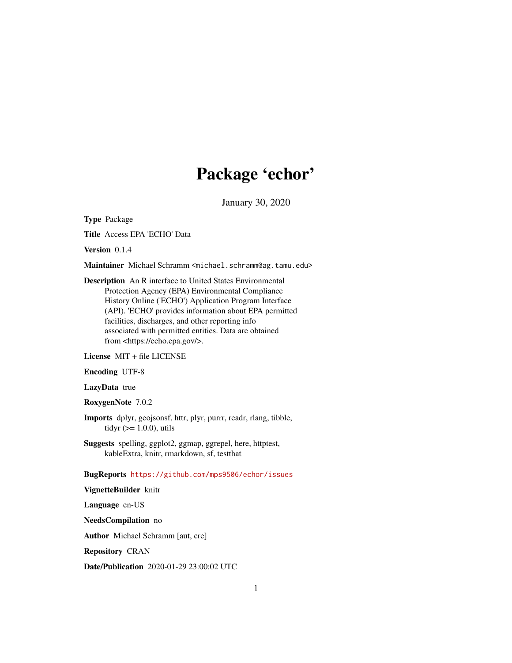## Package 'echor'

January 30, 2020

Type Package

Title Access EPA 'ECHO' Data

Version 0.1.4

Maintainer Michael Schramm <michael.schramm@ag.tamu.edu>

Description An R interface to United States Environmental Protection Agency (EPA) Environmental Compliance History Online ('ECHO') Application Program Interface (API). 'ECHO' provides information about EPA permitted facilities, discharges, and other reporting info associated with permitted entities. Data are obtained from <https://echo.epa.gov/>.

License MIT + file LICENSE

Encoding UTF-8

LazyData true

RoxygenNote 7.0.2

- Imports dplyr, geojsonsf, httr, plyr, purrr, readr, rlang, tibble, tidyr  $(>= 1.0.0)$ , utils
- Suggests spelling, ggplot2, ggmap, ggrepel, here, httptest, kableExtra, knitr, rmarkdown, sf, testthat

BugReports <https://github.com/mps9506/echor/issues>

VignetteBuilder knitr

Language en-US

NeedsCompilation no

Author Michael Schramm [aut, cre]

Repository CRAN

Date/Publication 2020-01-29 23:00:02 UTC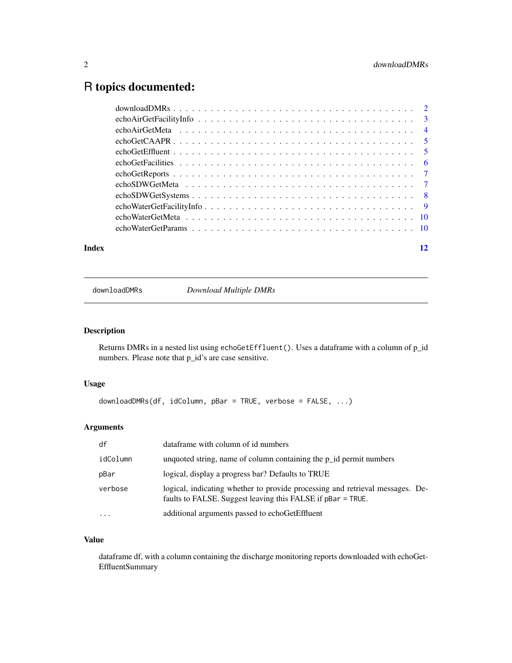### <span id="page-1-0"></span>R topics documented:

| Index | 12 |
|-------|----|
|       |    |
|       |    |
|       |    |
|       |    |
|       |    |
|       |    |
|       |    |
|       |    |
|       |    |
|       |    |
|       |    |
|       |    |

downloadDMRs *Download Multiple DMRs*

#### Description

Returns DMRs in a nested list using echoGetEffluent(). Uses a dataframe with a column of p\_id numbers. Please note that p\_id's are case sensitive.

#### Usage

```
downloadDMRs(df, idColumn, pBar = TRUE, verbose = FALSE, ...)
```
#### Arguments

| df        | dataframe with column of id numbers                                                                                                          |
|-----------|----------------------------------------------------------------------------------------------------------------------------------------------|
| idColumn  | unquoted string, name of column containing the $p_id$ permit numbers                                                                         |
| pBar      | logical, display a progress bar? Defaults to TRUE                                                                                            |
| verbose   | logical, indicating whether to provide processing and retrieval messages. De-<br>faults to FALSE. Suggest leaving this FALSE if pBar = TRUE. |
| $\ddotsc$ | additional arguments passed to echoGetEffluent                                                                                               |

#### Value

dataframe df, with a column containing the discharge monitoring reports downloaded with echoGet-EffluentSummary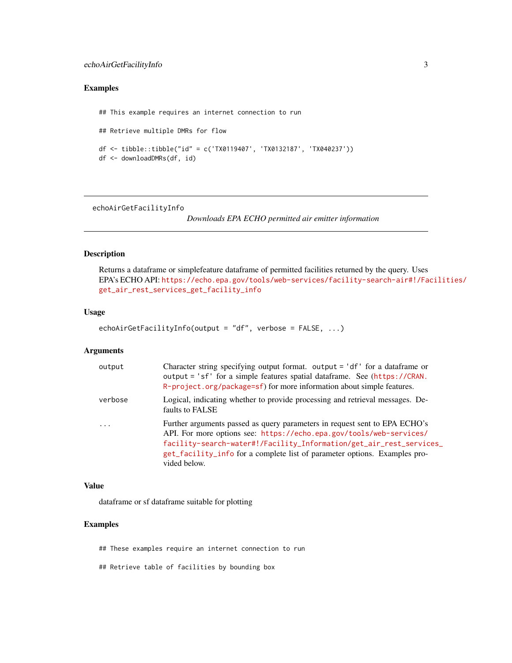#### <span id="page-2-0"></span>Examples

```
## This example requires an internet connection to run
## Retrieve multiple DMRs for flow
df <- tibble::tibble("id" = c('TX0119407', 'TX0132187', 'TX040237'))
df <- downloadDMRs(df, id)
```
<span id="page-2-1"></span>echoAirGetFacilityInfo

*Downloads EPA ECHO permitted air emitter information*

#### Description

Returns a dataframe or simplefeature dataframe of permitted facilities returned by the query. Uses EPA's ECHO API: [https://echo.epa.gov/tools/web-services/facility-search-air#!/Fa](https://echo.epa.gov/tools/web-services/facility-search-air#!/Facilities/get_air_rest_services_get_facility_info)cilities/ [get\\_air\\_rest\\_services\\_get\\_facility\\_info](https://echo.epa.gov/tools/web-services/facility-search-air#!/Facilities/get_air_rest_services_get_facility_info)

#### Usage

```
echoAirGetFacilityInfo(output = "df", verbose = FALSE, ...)
```
#### Arguments

| output   | Character string specifying output format. output $=$ 'df' for a data frame or<br>output = 'sf' for a simple features spatial dataframe. See (https://CRAN.<br>R-project.org/package=sf) for more information about simple features.                                                                                  |
|----------|-----------------------------------------------------------------------------------------------------------------------------------------------------------------------------------------------------------------------------------------------------------------------------------------------------------------------|
| verbose  | Logical, indicating whether to provide processing and retrieval messages. De-<br>faults to FALSE                                                                                                                                                                                                                      |
| $\cdots$ | Further arguments passed as query parameters in request sent to EPA ECHO's<br>API. For more options see: https://echo.epa.gov/tools/web-services/<br>facility-search-water#!/Facility_Information/get_air_rest_services_<br>get_facility_info for a complete list of parameter options. Examples pro-<br>vided below. |

#### Value

dataframe or sf dataframe suitable for plotting

#### Examples

## These examples require an internet connection to run

## Retrieve table of facilities by bounding box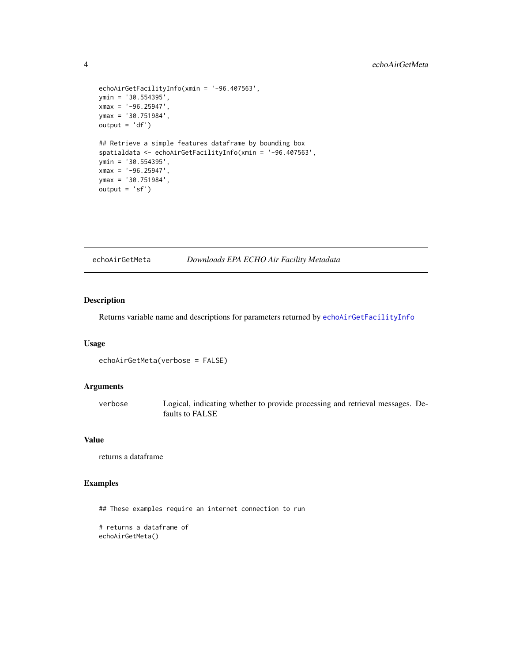```
echoAirGetFacilityInfo(xmin = '-96.407563',
ymin = '30.554395',
xmax = '-96.25947',
ymax = '30.751984',
output = 'df')## Retrieve a simple features dataframe by bounding box
spatialdata <- echoAirGetFacilityInfo(xmin = '-96.407563',
ymin = '30.554395',
xmax = ' -96.25947',ymax = '30.751984',
output = 'sf')
```
#### echoAirGetMeta *Downloads EPA ECHO Air Facility Metadata*

#### Description

Returns variable name and descriptions for parameters returned by [echoAirGetFacilityInfo](#page-2-1)

#### Usage

echoAirGetMeta(verbose = FALSE)

#### Arguments

verbose Logical, indicating whether to provide processing and retrieval messages. Defaults to FALSE

#### Value

returns a dataframe

#### Examples

## These examples require an internet connection to run

```
# returns a dataframe of
echoAirGetMeta()
```
<span id="page-3-0"></span>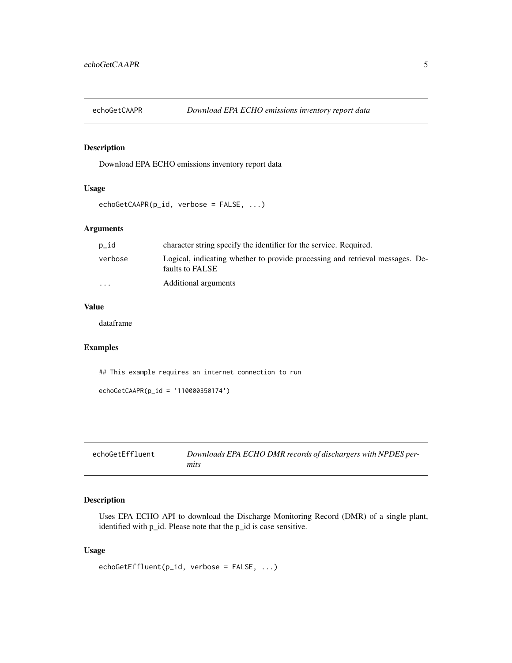<span id="page-4-0"></span>

#### Description

Download EPA ECHO emissions inventory report data

#### Usage

```
echoGetCAAPR(p_id, verbose = FALSE, ...)
```
#### Arguments

| p_id                    | character string specify the identifier for the service. Required.                               |
|-------------------------|--------------------------------------------------------------------------------------------------|
| verbose                 | Logical, indicating whether to provide processing and retrieval messages. De-<br>faults to FALSE |
| $\cdot$ $\cdot$ $\cdot$ | Additional arguments                                                                             |

#### Value

dataframe

#### Examples

## This example requires an internet connection to run

```
echoGetCAAPR(p_id = '110000350174')
```

| echoGetEffluent | Downloads EPA ECHO DMR records of dischargers with NPDES per- |
|-----------------|---------------------------------------------------------------|
|                 | mits                                                          |

#### Description

Uses EPA ECHO API to download the Discharge Monitoring Record (DMR) of a single plant, identified with p\_id. Please note that the p\_id is case sensitive.

#### Usage

```
echoGetEffluent(p_id, verbose = FALSE, ...)
```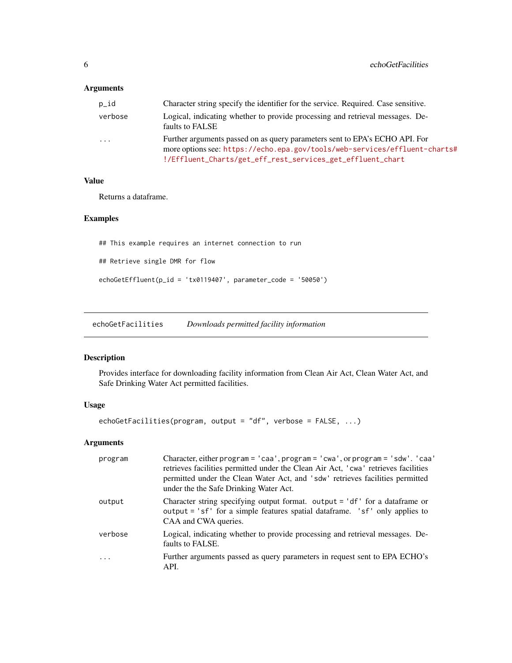#### <span id="page-5-0"></span>Arguments

| p_id     | Character string specify the identifier for the service. Required. Case sensitive.                                                                                                                                      |
|----------|-------------------------------------------------------------------------------------------------------------------------------------------------------------------------------------------------------------------------|
| verbose  | Logical, indicating whether to provide processing and retrieval messages. De-<br>faults to FALSE                                                                                                                        |
| $\ddots$ | Further arguments passed on as query parameters sent to EPA's ECHO API. For<br>more options see: https://echo.epa.gov/tools/web-services/effluent-charts#<br>!/Effluent_Charts/get_eff_rest_services_get_effluent_chart |

#### Value

Returns a dataframe.

#### Examples

## This example requires an internet connection to run ## Retrieve single DMR for flow echoGetEffluent(p\_id = 'tx0119407', parameter\_code = '50050')

echoGetFacilities *Downloads permitted facility information*

#### Description

Provides interface for downloading facility information from Clean Air Act, Clean Water Act, and Safe Drinking Water Act permitted facilities.

#### Usage

echoGetFacilities(program, output = "df", verbose = FALSE, ...)

#### Arguments

| program                 | Character, either program = 'caa', program = 'cwa', or program = 'sdw'. 'caa'<br>retrieves facilities permitted under the Clean Air Act, 'cwa' retrieves facilities<br>permitted under the Clean Water Act, and 'sdw' retrieves facilities permitted<br>under the the Safe Drinking Water Act. |
|-------------------------|------------------------------------------------------------------------------------------------------------------------------------------------------------------------------------------------------------------------------------------------------------------------------------------------|
| output                  | Character string specifying output format. output $=$ 'df' for a data frame or<br>output = 'sf' for a simple features spatial dataframe. 'sf' only applies to<br>CAA and CWA queries.                                                                                                          |
| verbose                 | Logical, indicating whether to provide processing and retrieval messages. De-<br>faults to FALSE.                                                                                                                                                                                              |
| $\cdot$ $\cdot$ $\cdot$ | Further arguments passed as query parameters in request sent to EPA ECHO's<br>API.                                                                                                                                                                                                             |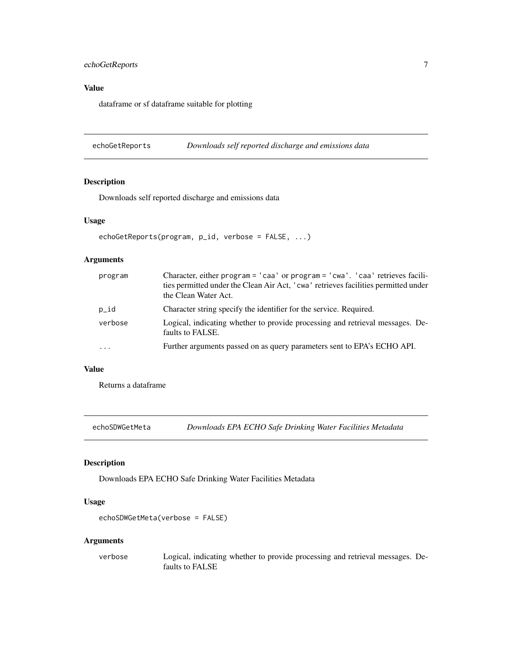#### <span id="page-6-0"></span>echoGetReports 7

#### Value

dataframe or sf dataframe suitable for plotting

echoGetReports *Downloads self reported discharge and emissions data*

#### Description

Downloads self reported discharge and emissions data

#### Usage

```
echoGetReports(program, p_id, verbose = FALSE, ...)
```
#### Arguments

| program  | Character, either program = 'caa' or program = 'cwa'. 'caa' retrieves facili-<br>ties permitted under the Clean Air Act, 'cwa' retrieves facilities permitted under<br>the Clean Water Act. |
|----------|---------------------------------------------------------------------------------------------------------------------------------------------------------------------------------------------|
| p_id     | Character string specify the identifier for the service. Required.                                                                                                                          |
| verbose  | Logical, indicating whether to provide processing and retrieval messages. De-<br>faults to FALSE.                                                                                           |
| $\cdots$ | Further arguments passed on as query parameters sent to EPA's ECHO API.                                                                                                                     |

#### Value

Returns a dataframe

echoSDWGetMeta *Downloads EPA ECHO Safe Drinking Water Facilities Metadata*

#### Description

Downloads EPA ECHO Safe Drinking Water Facilities Metadata

#### Usage

```
echoSDWGetMeta(verbose = FALSE)
```
#### Arguments

verbose Logical, indicating whether to provide processing and retrieval messages. Defaults to FALSE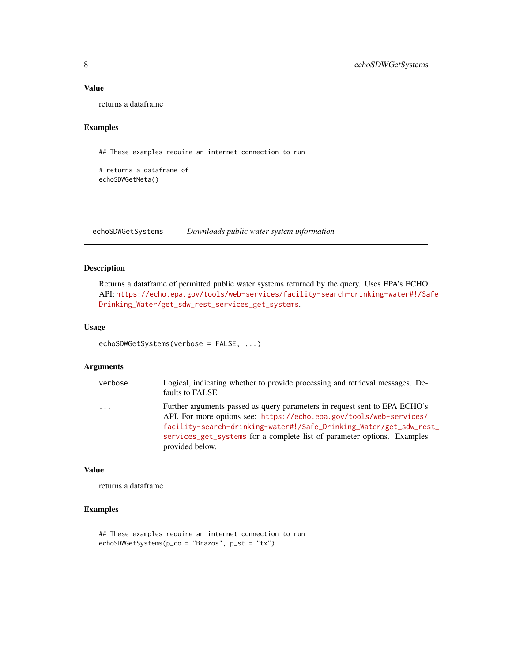#### <span id="page-7-0"></span>Value

returns a dataframe

#### Examples

## These examples require an internet connection to run

```
# returns a dataframe of
echoSDWGetMeta()
```
echoSDWGetSystems *Downloads public water system information*

#### Description

Returns a dataframe of permitted public water systems returned by the query. Uses EPA's ECHO API: [https://echo.epa.gov/tools/web-services/facility-search-drinking-water#!/Sa](https://echo.epa.gov/tools/web-services/facility-search-drinking-water#!/Safe_Drinking_Water/get_sdw_rest_services_get_systems)fe\_ [Drinking\\_Water/get\\_sdw\\_rest\\_services\\_get\\_systems](https://echo.epa.gov/tools/web-services/facility-search-drinking-water#!/Safe_Drinking_Water/get_sdw_rest_services_get_systems).

#### Usage

```
echoSDWGetSystems(verbose = FALSE, ...)
```
#### Arguments

| verbose | Logical, indicating whether to provide processing and retrieval messages. De-<br>faults to FALSE                                                                                                                                                                                                                      |
|---------|-----------------------------------------------------------------------------------------------------------------------------------------------------------------------------------------------------------------------------------------------------------------------------------------------------------------------|
| $\cdot$ | Further arguments passed as query parameters in request sent to EPA ECHO's<br>API. For more options see: https://echo.epa.gov/tools/web-services/<br>facility-search-drinking-water#!/Safe_Drinking_Water/get_sdw_rest_<br>services_get_systems for a complete list of parameter options. Examples<br>provided below. |

#### Value

returns a dataframe

#### Examples

```
## These examples require an internet connection to run
echoSDWGetSystems(p_co = "Brazos", p_st = "tx")
```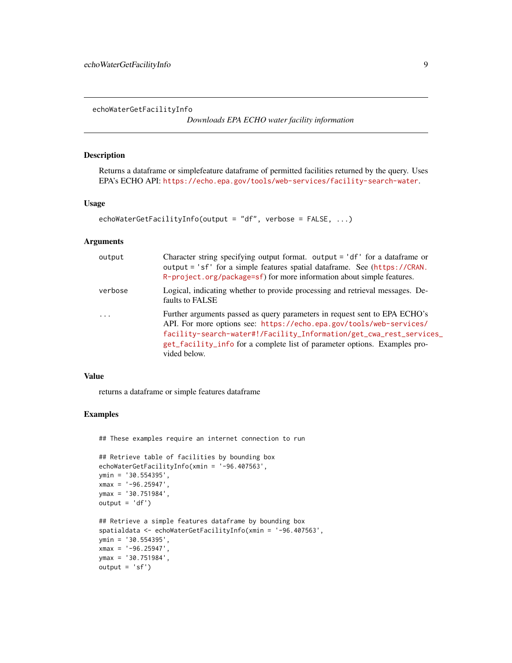<span id="page-8-1"></span><span id="page-8-0"></span>echoWaterGetFacilityInfo

*Downloads EPA ECHO water facility information*

#### Description

Returns a dataframe or simplefeature dataframe of permitted facilities returned by the query. Uses EPA's ECHO API: <https://echo.epa.gov/tools/web-services/facility-search-water>.

#### Usage

```
echoWaterGetFacilityInfo(output = "df", verbose = FALSE, ...)
```
#### Arguments

| output                  | Character string specifying output format. output $=$ 'df' for a data frame or<br>output = 'sf' for a simple features spatial dataframe. See (https://CRAN.<br>R-project.org/package=sf) for more information about simple features.                                                                                  |
|-------------------------|-----------------------------------------------------------------------------------------------------------------------------------------------------------------------------------------------------------------------------------------------------------------------------------------------------------------------|
| verbose                 | Logical, indicating whether to provide processing and retrieval messages. De-<br>faults to FALSE                                                                                                                                                                                                                      |
| $\cdot$ $\cdot$ $\cdot$ | Further arguments passed as query parameters in request sent to EPA ECHO's<br>API. For more options see: https://echo.epa.gov/tools/web-services/<br>facility-search-water#!/Facility_Information/get_cwa_rest_services_<br>get_facility_info for a complete list of parameter options. Examples pro-<br>vided below. |

#### Value

returns a dataframe or simple features dataframe

#### Examples

## These examples require an internet connection to run

```
## Retrieve table of facilities by bounding box
echoWaterGetFacilityInfo(xmin = '-96.407563',
ymin = '30.554395',
xmax = ' -96.25947',ymax = '30.751984',
output = 'df')## Retrieve a simple features dataframe by bounding box
spatialdata <- echoWaterGetFacilityInfo(xmin = '-96.407563',
ymin = '30.554395',
xmax = ' -96.25947',ymax = '30.751984',
output = 'sf')
```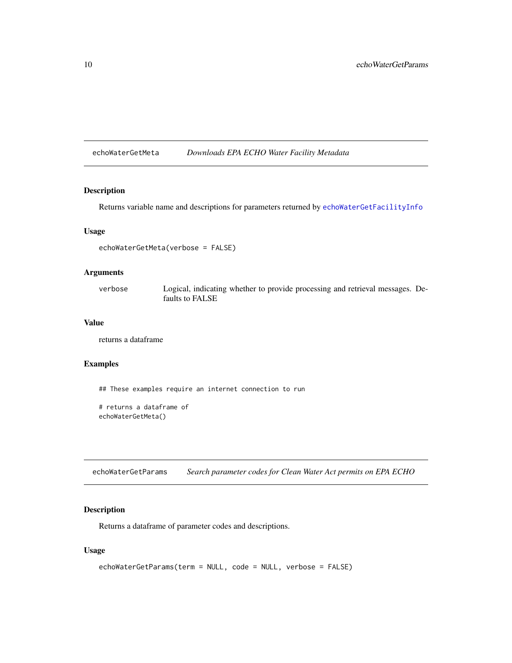<span id="page-9-0"></span>echoWaterGetMeta *Downloads EPA ECHO Water Facility Metadata*

#### Description

Returns variable name and descriptions for parameters returned by [echoWaterGetFacilityInfo](#page-8-1)

#### Usage

echoWaterGetMeta(verbose = FALSE)

#### Arguments

verbose Logical, indicating whether to provide processing and retrieval messages. Defaults to FALSE

#### Value

returns a dataframe

#### Examples

## These examples require an internet connection to run

```
# returns a dataframe of
echoWaterGetMeta()
```
echoWaterGetParams *Search parameter codes for Clean Water Act permits on EPA ECHO*

#### Description

Returns a dataframe of parameter codes and descriptions.

#### Usage

```
echoWaterGetParams(term = NULL, code = NULL, verbose = FALSE)
```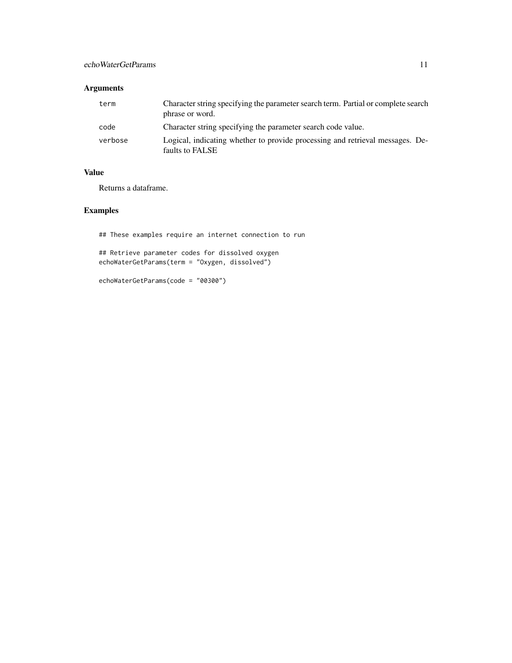#### Arguments

| term    | Character string specifying the parameter search term. Partial or complete search<br>phrase or word. |
|---------|------------------------------------------------------------------------------------------------------|
| code    | Character string specifying the parameter search code value.                                         |
| verbose | Logical, indicating whether to provide processing and retrieval messages. De-<br>faults to FALSE     |

#### Value

Returns a dataframe.

#### Examples

## These examples require an internet connection to run

## Retrieve parameter codes for dissolved oxygen echoWaterGetParams(term = "Oxygen, dissolved")

echoWaterGetParams(code = "00300")